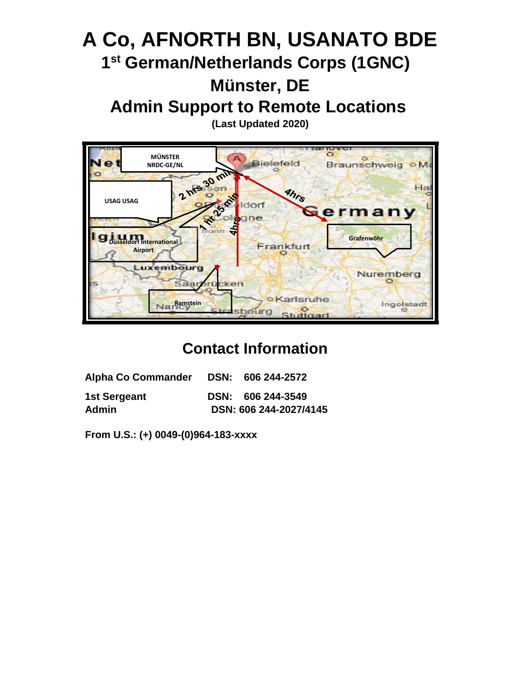# **A Co, AFNORTH BN, USANATO BDE 1 st German/Netherlands Corps (1GNC) Münster, DE Admin Support to Remote Locations**

**(Last Updated 2020)** 



## **Contact Information**

| <b>Alpha Co Commander</b>    | DSN: 606 244-2572                           |
|------------------------------|---------------------------------------------|
| 1st Sergeant<br><b>Admin</b> | DSN: 606 244-3549<br>DSN: 606 244-2027/4145 |

**From U.S.: (+) 0049-(0)964-183-xxxx**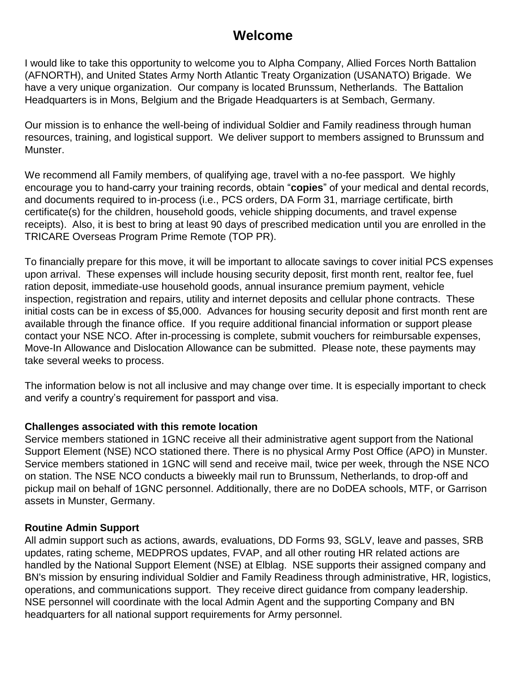## **Welcome**

I would like to take this opportunity to welcome you to Alpha Company, Allied Forces North Battalion (AFNORTH), and United States Army North Atlantic Treaty Organization (USANATO) Brigade. We have a very unique organization. Our company is located Brunssum, Netherlands. The Battalion Headquarters is in Mons, Belgium and the Brigade Headquarters is at Sembach, Germany.

Our mission is to enhance the well-being of individual Soldier and Family readiness through human resources, training, and logistical support. We deliver support to members assigned to Brunssum and Munster.

We recommend all Family members, of qualifying age, travel with a no-fee passport. We highly encourage you to hand-carry your training records, obtain "**copies**" of your medical and dental records, and documents required to in-process (i.e., PCS orders, DA Form 31, marriage certificate, birth certificate(s) for the children, household goods, vehicle shipping documents, and travel expense receipts). Also, it is best to bring at least 90 days of prescribed medication until you are enrolled in the TRICARE Overseas Program Prime Remote (TOP PR).

To financially prepare for this move, it will be important to allocate savings to cover initial PCS expenses upon arrival. These expenses will include housing security deposit, first month rent, realtor fee, fuel ration deposit, immediate-use household goods, annual insurance premium payment, vehicle inspection, registration and repairs, utility and internet deposits and cellular phone contracts. These initial costs can be in excess of \$5,000. Advances for housing security deposit and first month rent are available through the finance office. If you require additional financial information or support please contact your NSE NCO. After in-processing is complete, submit vouchers for reimbursable expenses, Move-In Allowance and Dislocation Allowance can be submitted. Please note, these payments may take several weeks to process.

The information below is not all inclusive and may change over time. It is especially important to check and verify a country's requirement for passport and visa.

#### **Challenges associated with this remote location**

Service members stationed in 1GNC receive all their administrative agent support from the National Support Element (NSE) NCO stationed there. There is no physical Army Post Office (APO) in Munster. Service members stationed in 1GNC will send and receive mail, twice per week, through the NSE NCO on station. The NSE NCO conducts a biweekly mail run to Brunssum, Netherlands, to drop-off and pickup mail on behalf of 1GNC personnel. Additionally, there are no DoDEA schools, MTF, or Garrison assets in Munster, Germany.

#### **Routine Admin Support**

All admin support such as actions, awards, evaluations, DD Forms 93, SGLV, leave and passes, SRB updates, rating scheme, MEDPROS updates, FVAP, and all other routing HR related actions are handled by the National Support Element (NSE) at Elblag. NSE supports their assigned company and BN's mission by ensuring individual Soldier and Family Readiness through administrative, HR, logistics, operations, and communications support. They receive direct guidance from company leadership. NSE personnel will coordinate with the local Admin Agent and the supporting Company and BN headquarters for all national support requirements for Army personnel.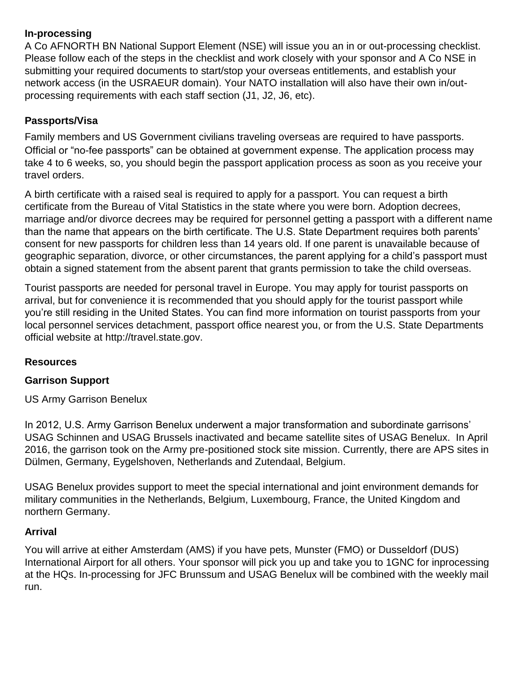#### **In-processing**

A Co AFNORTH BN National Support Element (NSE) will issue you an in or out-processing checklist. Please follow each of the steps in the checklist and work closely with your sponsor and A Co NSE in submitting your required documents to start/stop your overseas entitlements, and establish your network access (in the USRAEUR domain). Your NATO installation will also have their own in/outprocessing requirements with each staff section (J1, J2, J6, etc).

## **Passports/Visa**

Family members and US Government civilians traveling overseas are required to have passports. Official or "no-fee passports" can be obtained at government expense. The application process may take 4 to 6 weeks, so, you should begin the passport application process as soon as you receive your travel orders.

A birth certificate with a raised seal is required to apply for a passport. You can request a birth certificate from the Bureau of Vital Statistics in the state where you were born. Adoption decrees, marriage and/or divorce decrees may be required for personnel getting a passport with a different name than the name that appears on the birth certificate. The U.S. State Department requires both parents' consent for new passports for children less than 14 years old. If one parent is unavailable because of geographic separation, divorce, or other circumstances, the parent applying for a child's passport must obtain a signed statement from the absent parent that grants permission to take the child overseas.

Tourist passports are needed for personal travel in Europe. You may apply for tourist passports on arrival, but for convenience it is recommended that you should apply for the tourist passport while you're still residing in the United States. You can find more information on tourist passports from your local personnel services detachment, passport office nearest you, or from the U.S. State Departments official website at [http://travel.state.gov.](http://travel.state.gov/)

## **Resources**

## **Garrison Support**

US Army Garrison Benelux

In 2012, U.S. Army Garrison Benelux underwent a major transformation and subordinate garrisons' USAG Schinnen and USAG Brussels inactivated and became satellite sites of USAG Benelux. In April 2016, the garrison took on the Army pre-positioned stock site mission. Currently, there are APS sites in Dülmen, Germany, Eygelshoven, Netherlands and Zutendaal, Belgium.

USAG Benelux provides support to meet the special international and joint environment demands for military communities in the Netherlands, Belgium, Luxembourg, France, the United Kingdom and northern Germany.

#### **Arrival**

You will arrive at either Amsterdam (AMS) if you have pets, Munster (FMO) or Dusseldorf (DUS) International Airport for all others. Your sponsor will pick you up and take you to 1GNC for inprocessing at the HQs. In-processing for JFC Brunssum and USAG Benelux will be combined with the weekly mail run.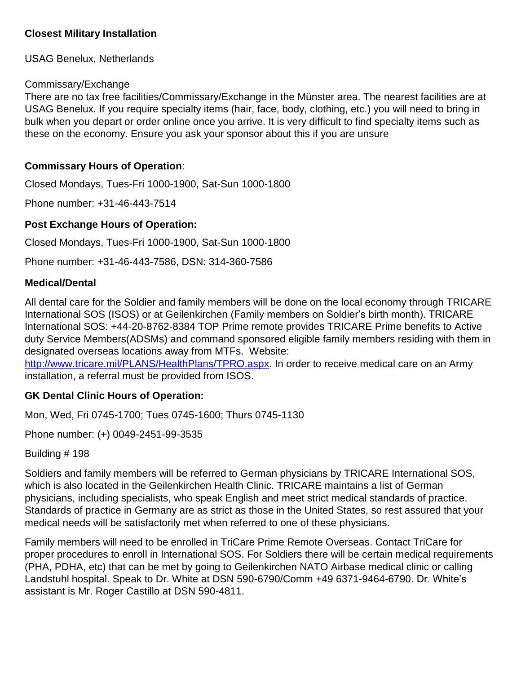#### **Closest Military Installation**

USAG Benelux, Netherlands

#### Commissary/Exchange

There are no tax free facilities/Commissary/Exchange in the Münster area. The nearest facilities are at USAG Benelux. If you require specialty items (hair, face, body, clothing, etc.) you will need to bring in bulk when you depart or order online once you arrive. It is very difficult to find specialty items such as these on the economy. Ensure you ask your sponsor about this if you are unsure

#### **Commissary Hours of Operation**:

Closed Mondays, Tues-Fri 1000-1900, Sat-Sun 1000-1800

Phone number: +31-46-443-7514

#### **Post Exchange Hours of Operation:**

Closed Mondays, Tues-Fri 1000-1900, Sat-Sun 1000-1800

Phone number: +31-46-443-7586, DSN: 314-360-7586

#### **Medical/Dental**

All dental care for the Soldier and family members will be done on the local economy through TRICARE International SOS (ISOS) or at Geilenkirchen (Family members on Soldier's birth month). TRICARE International SOS: +44-20-8762-8384 TOP Prime remote provides TRICARE Prime benefits to Active duty Service Members(ADSMs) and command sponsored eligible family members residing with them in designated overseas locations away from MTFs. Website:

[http://www.tricare.mil/PLANS/HealthPlans/TPRO.aspx.](http://www.tricare.mil/PLANS/HealthPlans/TPRO.aspx) In order to receive medical care on an Army installation, a referral must be provided from ISOS.

#### **GK Dental Clinic Hours of Operation:**

Mon, Wed, Fri 0745-1700; Tues 0745-1600; Thurs 0745-1130

Phone number: (+) 0049-2451-99-3535

Building # 198

Soldiers and family members will be referred to German physicians by TRICARE International SOS, which is also located in the Geilenkirchen Health Clinic. TRICARE maintains a list of German physicians, including specialists, who speak English and meet strict medical standards of practice. Standards of practice in Germany are as strict as those in the United States, so rest assured that your medical needs will be satisfactorily met when referred to one of these physicians.

Family members will need to be enrolled in TriCare Prime Remote Overseas. Contact TriCare for proper procedures to enroll in International SOS. For Soldiers there will be certain medical requirements (PHA, PDHA, etc) that can be met by going to Geilenkirchen NATO Airbase medical clinic or calling Landstuhl hospital. Speak to Dr. White at DSN 590-6790/Comm +49 6371-9464-6790. Dr. White's assistant is Mr. Roger Castillo at DSN 590-4811.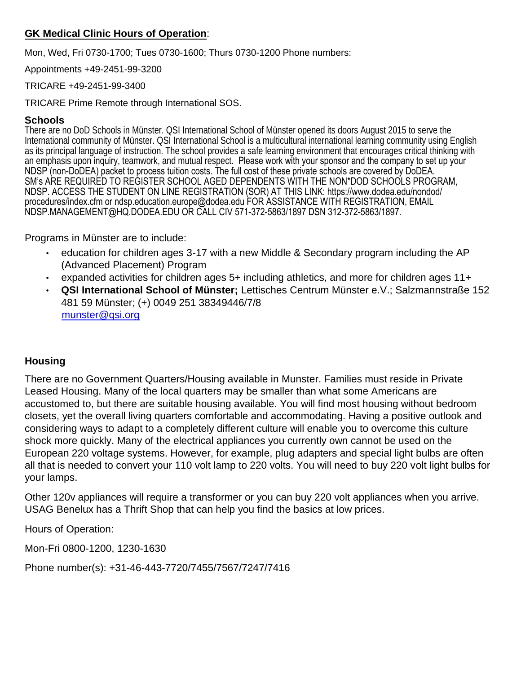#### **GK Medical Clinic Hours of Operation**:

Mon, Wed, Fri 0730-1700; Tues 0730-1600; Thurs 0730-1200 Phone numbers:

Appointments +49-2451-99-3200

#### TRICARE +49-2451-99-3400

TRICARE Prime Remote through International SOS.

#### **Schools**

There are no DoD Schools in Münster. QSI International School of Münster opened its doors August 2015 to serve the International community of Münster. QSI International School is a multicultural international learning community using English as its principal language of instruction. The school provides a safe learning environment that encourages critical thinking with an emphasis upon inquiry, teamwork, and mutual respect. Please work with your sponsor and the company to set up your NDSP (non-DoDEA) packet to process tuition costs. The full cost of these private schools are covered by DoDEA. SM's ARE REQUIRED TO REGISTER SCHOOL AGED DEPENDENTS WITH THE NON\*DOD SCHOOLS PROGRAM, NDSP. ACCESS THE STUDENT ON LINE REGISTRATION (SOR) AT THIS LINK: https://www.dodea.edu/nondod/ procedures/index.cfm or ndsp.education.europe@dodea.edu FOR ASSISTANCE WITH REGISTRATION, EMAIL NDSP.MANAGEMENT@HQ.DODEA.EDU OR CALL CIV 571-372-5863/1897 DSN 312-372-5863/1897.

Programs in Münster are to include:

- education for children ages 3-17 with a new Middle & Secondary program including the AP (Advanced Placement) Program
- expanded activities for children ages 5+ including athletics, and more for children ages 11+
- **QSI International School of Münster;** Lettisches Centrum Münster e.V.; Salzmannstraße 152 481 59 Münster; (+) 0049 251 38349446/7/8 munster@qsi.org

## **Housing**

There are no Government Quarters/Housing available in Munster. Families must reside in Private Leased Housing. Many of the local quarters may be smaller than what some Americans are accustomed to, but there are suitable housing available. You will find most housing without bedroom closets, yet the overall living quarters comfortable and accommodating. Having a positive outlook and considering ways to adapt to a completely different culture will enable you to overcome this culture shock more quickly. Many of the electrical appliances you currently own cannot be used on the European 220 voltage systems. However, for example, plug adapters and special light bulbs are often all that is needed to convert your 110 volt lamp to 220 volts. You will need to buy 220 volt light bulbs for your lamps.

Other 120v appliances will require a transformer or you can buy 220 volt appliances when you arrive. USAG Benelux has a Thrift Shop that can help you find the basics at low prices.

Hours of Operation:

Mon-Fri 0800-1200, 1230-1630

Phone number(s): +31-46-443-7720/7455/7567/7247/7416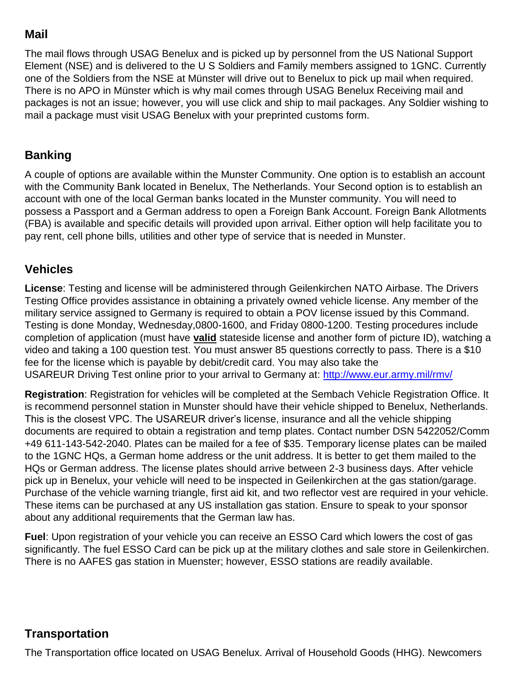## **Mail**

The mail flows through USAG Benelux and is picked up by personnel from the US National Support Element (NSE) and is delivered to the U S Soldiers and Family members assigned to 1GNC. Currently one of the Soldiers from the NSE at Münster will drive out to Benelux to pick up mail when required. There is no APO in Münster which is why mail comes through USAG Benelux Receiving mail and packages is not an issue; however, you will use click and ship to mail packages. Any Soldier wishing to mail a package must visit USAG Benelux with your preprinted customs form.

## **Banking**

A couple of options are available within the Munster Community. One option is to establish an account with the Community Bank located in Benelux, The Netherlands. Your Second option is to establish an account with one of the local German banks located in the Munster community. You will need to possess a Passport and a German address to open a Foreign Bank Account. Foreign Bank Allotments (FBA) is available and specific details will provided upon arrival. Either option will help facilitate you to pay rent, cell phone bills, utilities and other type of service that is needed in Munster.

## **Vehicles**

**License**: Testing and license will be administered through Geilenkirchen NATO Airbase. The Drivers Testing Office provides assistance in obtaining a privately owned vehicle license. Any member of the military service assigned to Germany is required to obtain a POV license issued by this Command. Testing is done Monday, Wednesday,0800-1600, and Friday 0800-1200. Testing procedures include completion of application (must have **valid** stateside license and another form of picture ID), watching a video and taking a 100 question test. You must answer 85 questions correctly to pass. There is a \$10 fee for the license which is payable by debit/credit card. You may also take the USAREUR Driving Test online prior to your arrival to Germany at:<http://www.eur.army.mil/rmv/>

**Registration**: Registration for vehicles will be completed at the Sembach Vehicle Registration Office. It is recommend personnel station in Munster should have their vehicle shipped to Benelux, Netherlands. This is the closest VPC. The USAREUR driver's license, insurance and all the vehicle shipping documents are required to obtain a registration and temp plates. Contact number DSN 5422052/Comm +49 611-143-542-2040. Plates can be mailed for a fee of \$35. Temporary license plates can be mailed to the 1GNC HQs, a German home address or the unit address. It is better to get them mailed to the HQs or German address. The license plates should arrive between 2-3 business days. After vehicle pick up in Benelux, your vehicle will need to be inspected in Geilenkirchen at the gas station/garage. Purchase of the vehicle warning triangle, first aid kit, and two reflector vest are required in your vehicle. These items can be purchased at any US installation gas station. Ensure to speak to your sponsor about any additional requirements that the German law has.

**Fuel**: Upon registration of your vehicle you can receive an ESSO Card which lowers the cost of gas significantly. The fuel ESSO Card can be pick up at the military clothes and sale store in Geilenkirchen. There is no AAFES gas station in Muenster; however, ESSO stations are readily available.

## **Transportation**

The Transportation office located on USAG Benelux. Arrival of Household Goods (HHG). Newcomers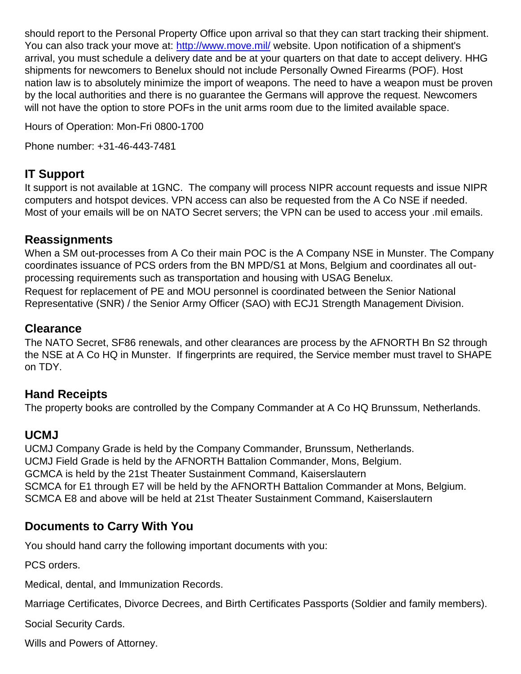should report to the Personal Property Office upon arrival so that they can start tracking their shipment. You can also track your move at:<http://www.move.mil/> [we](http://www.move.mil/)bsite. Upon notification of a shipment's arrival, you must schedule a delivery date and be at your quarters on that date to accept delivery. HHG shipments for newcomers to Benelux should not include Personally Owned Firearms (POF). Host nation law is to absolutely minimize the import of weapons. The need to have a weapon must be proven by the local authorities and there is no guarantee the Germans will approve the request. Newcomers will not have the option to store POFs in the unit arms room due to the limited available space.

Hours of Operation: Mon-Fri 0800-1700

Phone number: +31-46-443-7481

## **IT Support**

It support is not available at 1GNC. The company will process NIPR account requests and issue NIPR computers and hotspot devices. VPN access can also be requested from the A Co NSE if needed. Most of your emails will be on NATO Secret servers; the VPN can be used to access your .mil emails.

## **Reassignments**

When a SM out-processes from A Co their main POC is the A Company NSE in Munster. The Company coordinates issuance of PCS orders from the BN MPD/S1 at Mons, Belgium and coordinates all outprocessing requirements such as transportation and housing with USAG Benelux. Request for replacement of PE and MOU personnel is coordinated between the Senior National Representative (SNR) / the Senior Army Officer (SAO) with ECJ1 Strength Management Division.

## **Clearance**

The NATO Secret, SF86 renewals, and other clearances are process by the AFNORTH Bn S2 through the NSE at A Co HQ in Munster. If fingerprints are required, the Service member must travel to SHAPE on TDY.

## **Hand Receipts**

The property books are controlled by the Company Commander at A Co HQ Brunssum, Netherlands.

## **UCMJ**

UCMJ Company Grade is held by the Company Commander, Brunssum, Netherlands. UCMJ Field Grade is held by the AFNORTH Battalion Commander, Mons, Belgium. GCMCA is held by the 21st Theater Sustainment Command, Kaiserslautern SCMCA for E1 through E7 will be held by the AFNORTH Battalion Commander at Mons, Belgium. SCMCA E8 and above will be held at 21st Theater Sustainment Command, Kaiserslautern

## **Documents to Carry With You**

You should hand carry the following important documents with you:

PCS orders.

Medical, dental, and Immunization Records.

Marriage Certificates, Divorce Decrees, and Birth Certificates Passports (Soldier and family members).

Social Security Cards.

Wills and Powers of Attorney.